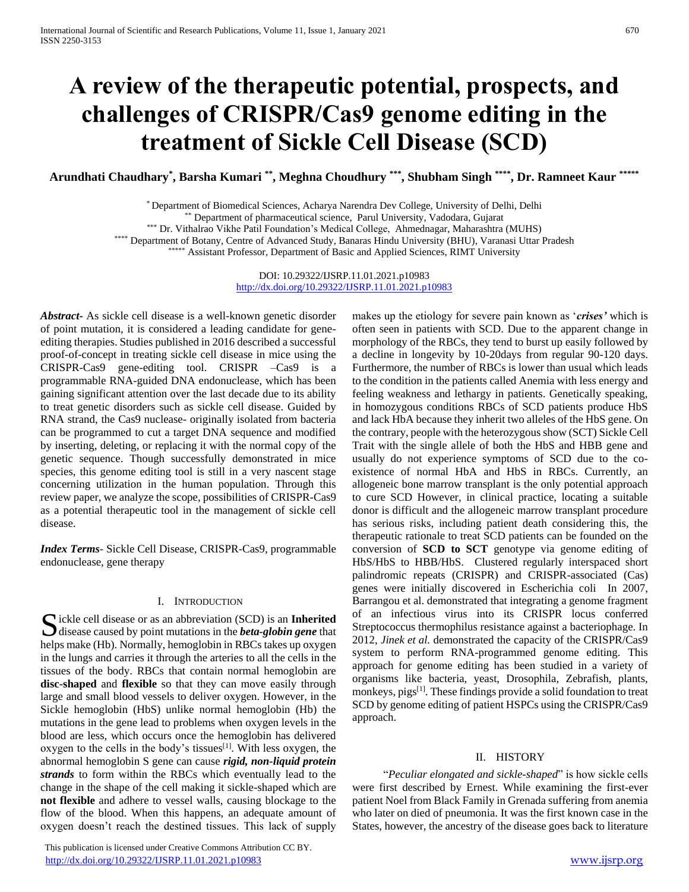# **A review of the therapeutic potential, prospects, and challenges of CRISPR/Cas9 genome editing in the treatment of Sickle Cell Disease (SCD)**

**Arundhati Chaudhary\* , Barsha Kumari \*\* , Meghna Choudhury \*\*\* , Shubham Singh \*\*\*\* , Dr. Ramneet Kaur \*\*\*\*\***

\* Department of Biomedical Sciences, Acharya Narendra Dev College, University of Delhi, Delhi

\*\*\* Department of pharmaceutical science, Parul University, Vadodara, Gujarat

\*\*\* Dr. Vithalrao Vikhe Patil Foundation's Medical College, Ahmednagar, Maharashtra (MUHS)

\*\*\*\* Department of Botany, Centre of Advanced Study, Banaras Hindu University (BHU), Varanasi Uttar Pradesh

\*\*\*\*\* Assistant Professor, Department of Basic and Applied Sciences, RIMT University

DOI: 10.29322/IJSRP.11.01.2021.p10983 <http://dx.doi.org/10.29322/IJSRP.11.01.2021.p10983>

*Abstract***-** As sickle cell disease is a well-known genetic disorder of point mutation, it is considered a leading candidate for geneediting therapies. Studies published in 2016 described a successful proof-of-concept in treating sickle cell disease in mice using the CRISPR-Cas9 gene-editing tool. CRISPR –Cas9 is a programmable RNA-guided DNA endonuclease, which has been gaining significant attention over the last decade due to its ability to treat genetic disorders such as sickle cell disease. Guided by RNA strand, the Cas9 nuclease- originally isolated from bacteria can be programmed to cut a target DNA sequence and modified by inserting, deleting, or replacing it with the normal copy of the genetic sequence. Though successfully demonstrated in mice species, this genome editing tool is still in a very nascent stage concerning utilization in the human population. Through this review paper, we analyze the scope, possibilities of CRISPR-Cas9 as a potential therapeutic tool in the management of sickle cell disease.

*Index Terms*- Sickle Cell Disease, CRISPR-Cas9, programmable endonuclease, gene therapy

# I. INTRODUCTION

ickle cell disease or as an abbreviation (SCD) is an **Inherited** S ickle cell disease or as an abbreviation (SCD) is an **Inherited** disease caused by point mutations in the *beta-globin gene* that helps make (Hb). Normally, hemoglobin in RBCs takes up oxygen in the lungs and carries it through the arteries to all the cells in the tissues of the body. RBCs that contain normal hemoglobin are **disc-shaped** and **flexible** so that they can move easily through large and small blood vessels to deliver oxygen. However, in the Sickle hemoglobin (HbS) unlike normal hemoglobin (Hb) the mutations in the gene lead to problems when oxygen levels in the blood are less, which occurs once the hemoglobin has delivered oxygen to the cells in the body's tissues $[1]$ . With less oxygen, the abnormal hemoglobin S gene can cause *rigid, non-liquid protein strands* to form within the RBCs which eventually lead to the change in the shape of the cell making it sickle-shaped which are **not flexible** and adhere to vessel walls, causing blockage to the flow of the blood. When this happens, an adequate amount of oxygen doesn't reach the destined tissues. This lack of supply

 This publication is licensed under Creative Commons Attribution CC BY. <http://dx.doi.org/10.29322/IJSRP.11.01.2021.p10983> [www.ijsrp.org](http://ijsrp.org/)

makes up the etiology for severe pain known as '*crises'* which is often seen in patients with SCD. Due to the apparent change in morphology of the RBCs, they tend to burst up easily followed by a decline in longevity by 10-20days from regular 90-120 days. Furthermore, the number of RBCs is lower than usual which leads to the condition in the patients called Anemia with less energy and feeling weakness and lethargy in patients. Genetically speaking, in homozygous conditions RBCs of SCD patients produce HbS and lack HbA because they inherit two alleles of the HbS gene. On the contrary, people with the heterozygous show (SCT) Sickle Cell Trait with the single allele of both the HbS and HBB gene and usually do not experience symptoms of SCD due to the coexistence of normal HbA and HbS in RBCs. Currently, an allogeneic bone marrow transplant is the only potential approach to cure SCD However, in clinical practice, locating a suitable donor is difficult and the allogeneic marrow transplant procedure has serious risks, including patient death considering this, the therapeutic rationale to treat SCD patients can be founded on the conversion of **SCD to SCT** genotype via genome editing of HbS/HbS to HBB/HbS. Clustered regularly interspaced short palindromic repeats (CRISPR) and CRISPR-associated (Cas) genes were initially discovered in Escherichia coli In 2007, Barrangou et al. demonstrated that integrating a genome fragment of an infectious virus into its CRISPR locus conferred Streptococcus thermophilus resistance against a bacteriophage. In 2012, *Jinek et al.* demonstrated the capacity of the CRISPR/Cas9 system to perform RNA-programmed genome editing. This approach for genome editing has been studied in a variety of organisms like bacteria, yeast, Drosophila, Zebrafish, plants, monkeys, pigs<sup>[1]</sup>. These findings provide a solid foundation to treat SCD by genome editing of patient HSPCs using the CRISPR/Cas9 approach.

# II. HISTORY

 "*Peculiar elongated and sickle-shaped*" is how sickle cells were first described by Ernest. While examining the first-ever patient Noel from Black Family in Grenada suffering from anemia who later on died of pneumonia. It was the first known case in the States, however, the ancestry of the disease goes back to literature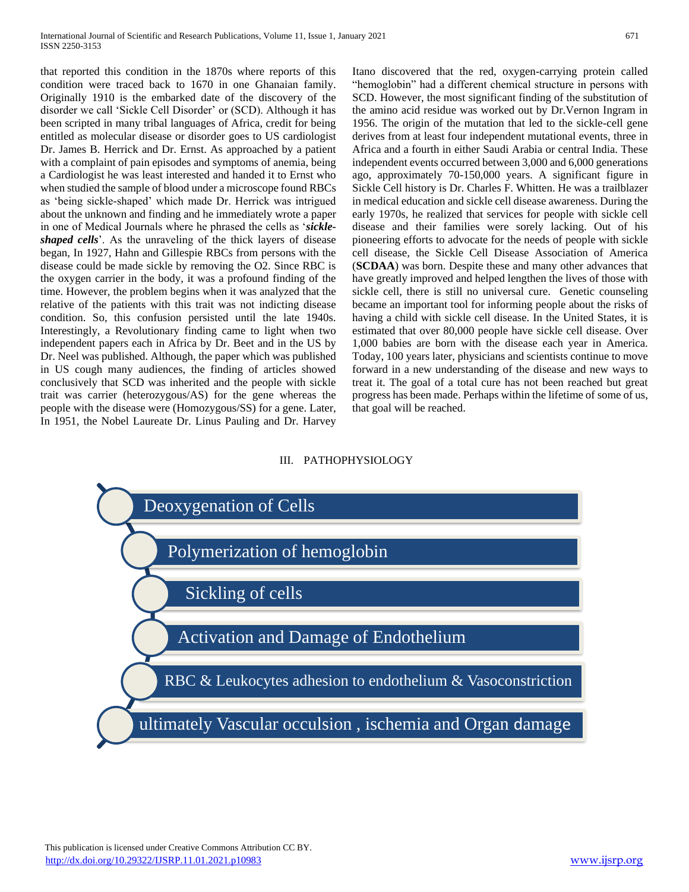that reported this condition in the 1870s where reports of this condition were traced back to 1670 in one Ghanaian family. Originally 1910 is the embarked date of the discovery of the disorder we call 'Sickle Cell Disorder' or (SCD). Although it has been scripted in many tribal languages of Africa, credit for being entitled as molecular disease or disorder goes to US cardiologist Dr. James B. Herrick and Dr. Ernst. As approached by a patient with a complaint of pain episodes and symptoms of anemia, being a Cardiologist he was least interested and handed it to Ernst who when studied the sample of blood under a microscope found RBCs as 'being sickle-shaped' which made Dr. Herrick was intrigued about the unknown and finding and he immediately wrote a paper in one of Medical Journals where he phrased the cells as '*sickleshaped cells*'. As the unraveling of the thick layers of disease began, In 1927, Hahn and Gillespie RBCs from persons with the disease could be made sickle by removing the O2. Since RBC is the oxygen carrier in the body, it was a profound finding of the time. However, the problem begins when it was analyzed that the relative of the patients with this trait was not indicting disease condition. So, this confusion persisted until the late 1940s. Interestingly, a Revolutionary finding came to light when two independent papers each in Africa by Dr. Beet and in the US by Dr. Neel was published. Although, the paper which was published in US cough many audiences, the finding of articles showed conclusively that SCD was inherited and the people with sickle trait was carrier (heterozygous/AS) for the gene whereas the people with the disease were (Homozygous/SS) for a gene. Later, In 1951, the Nobel Laureate Dr. Linus Pauling and Dr. Harvey Itano discovered that the red, oxygen-carrying protein called "hemoglobin" had a different chemical structure in persons with SCD. However, the most significant finding of the substitution of the amino acid residue was worked out by Dr.Vernon Ingram in 1956. The origin of the mutation that led to the sickle-cell gene derives from at least four independent mutational events, three in Africa and a fourth in either Saudi Arabia or central India. These independent events occurred between 3,000 and 6,000 generations ago, approximately 70-150,000 years. A significant figure in Sickle Cell history is Dr. Charles F. Whitten. He was a trailblazer in medical education and sickle cell disease awareness. During the early 1970s, he realized that services for people with sickle cell disease and their families were sorely lacking. Out of his pioneering efforts to advocate for the needs of people with sickle cell disease, the Sickle Cell Disease Association of America (**SCDAA**) was born. Despite these and many other advances that have greatly improved and helped lengthen the lives of those with sickle cell, there is still no universal cure. Genetic counseling became an important tool for informing people about the risks of having a child with sickle cell disease. In the United States, it is estimated that over 80,000 people have sickle cell disease. Over 1,000 babies are born with the disease each year in America. Today, 100 years later, physicians and scientists continue to move forward in a new understanding of the disease and new ways to treat it. The goal of a total cure has not been reached but great progress has been made. Perhaps within the lifetime of some of us, that goal will be reached.

# III. PATHOPHYSIOLOGY

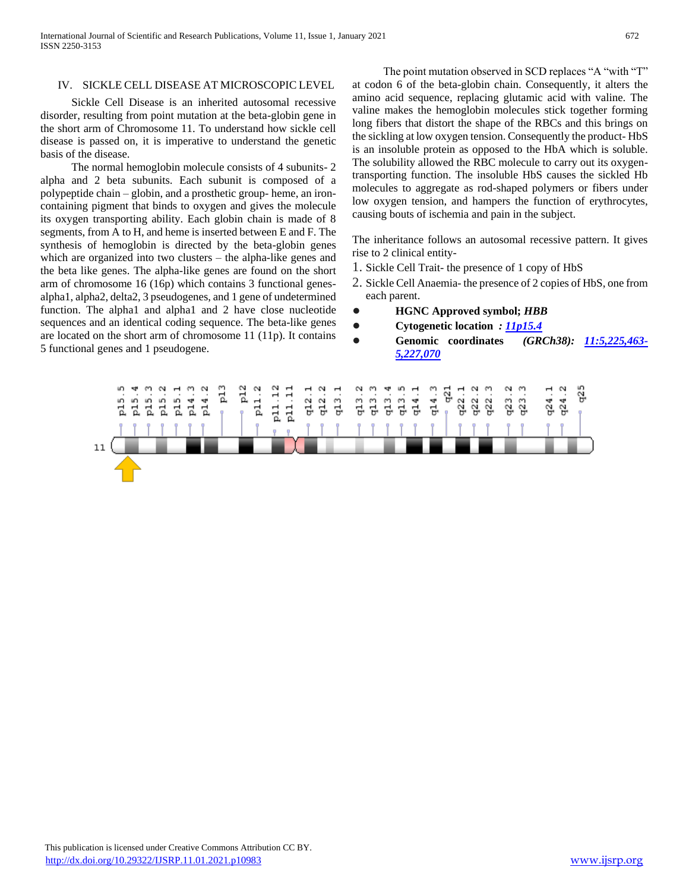International Journal of Scientific and Research Publications, Volume 11, Issue 1, January 2021 672 ISSN 2250-3153

### IV. SICKLE CELL DISEASE AT MICROSCOPIC LEVEL

 Sickle Cell Disease is an inherited autosomal recessive disorder, resulting from point mutation at the beta-globin gene in the short arm of Chromosome 11. To understand how sickle cell disease is passed on, it is imperative to understand the genetic basis of the disease.

 The normal hemoglobin molecule consists of 4 subunits- 2 alpha and 2 beta subunits. Each subunit is composed of a polypeptide chain – globin, and a prosthetic group- heme, an ironcontaining pigment that binds to oxygen and gives the molecule its oxygen transporting ability. Each globin chain is made of 8 segments, from A to H, and heme is inserted between E and F. The synthesis of hemoglobin is directed by the beta-globin genes which are organized into two clusters – the alpha-like genes and the beta like genes. The alpha-like genes are found on the short arm of chromosome 16 (16p) which contains 3 functional genesalpha1, alpha2, delta2, 3 pseudogenes, and 1 gene of undetermined function. The alpha1 and alpha1 and 2 have close nucleotide sequences and an identical coding sequence. The beta-like genes are located on the short arm of chromosome 11 (11p). It contains 5 functional genes and 1 pseudogene.

 The point mutation observed in SCD replaces "A "with "T" at codon 6 of the beta-globin chain. Consequently, it alters the amino acid sequence, replacing glutamic acid with valine. The valine makes the hemoglobin molecules stick together forming long fibers that distort the shape of the RBCs and this brings on the sickling at low oxygen tension. Consequently the product- HbS is an insoluble protein as opposed to the HbA which is soluble. The solubility allowed the RBC molecule to carry out its oxygentransporting function. The insoluble HbS causes the sickled Hb molecules to aggregate as rod-shaped polymers or fibers under low oxygen tension, and hampers the function of erythrocytes, causing bouts of ischemia and pain in the subject.

The inheritance follows an autosomal recessive pattern. It gives rise to 2 clinical entity-

- 1. Sickle Cell Trait- the presence of 1 copy of HbS
- 2. Sickle Cell Anaemia- the presence of 2 copies of HbS, one from each parent.
- **HGNC Approved symbol;** *HBB*
- **Cytogenetic location** *: [11p15.4](https://omim.org/geneMap/11/108?start=-3&limit=10&highlight=108)*
- **Genomic coordinates** *(GRCh38): [11:5,225,463-](https://genome.ucsc.edu/cgi-bin/hgTracks?db=hg38&position=chr11:5225463-5227070&dgv=pack&knownGene=pack&omimGene=pack) [5,227,070](https://genome.ucsc.edu/cgi-bin/hgTracks?db=hg38&position=chr11:5225463-5227070&dgv=pack&knownGene=pack&omimGene=pack)*

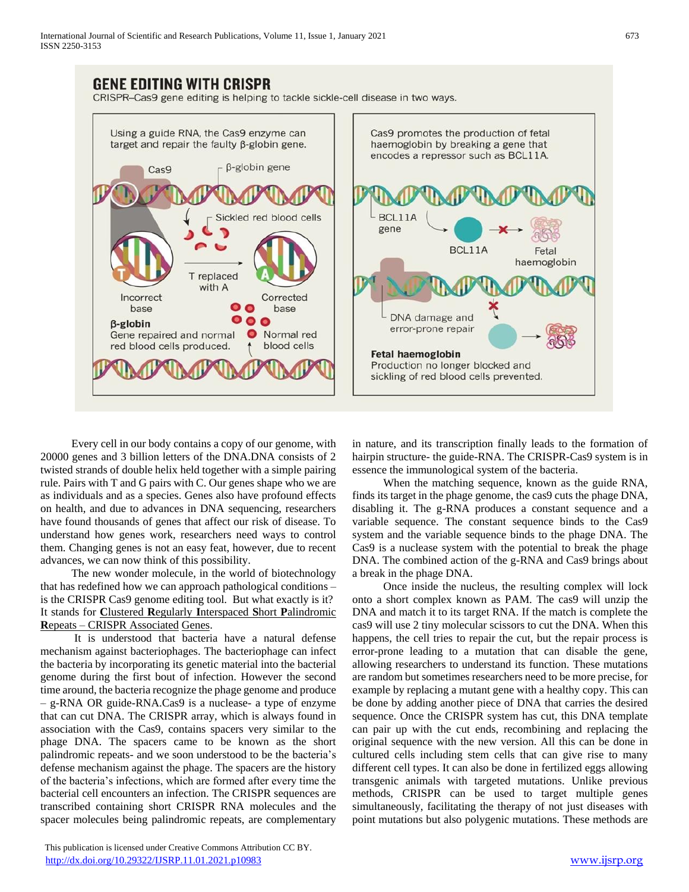# GENE EDITING WITH CRISPR

CRISPR-Cas9 gene editing is helping to tackle sickle-cell disease in two ways.



 Every cell in our body contains a copy of our genome, with 20000 genes and 3 billion letters of the DNA.DNA consists of 2 twisted strands of double helix held together with a simple pairing rule. Pairs with T and G pairs with C. Our genes shape who we are as individuals and as a species. Genes also have profound effects on health, and due to advances in DNA sequencing, researchers have found thousands of genes that affect our risk of disease. To understand how genes work, researchers need ways to control them. Changing genes is not an easy feat, however, due to recent advances, we can now think of this possibility.

 The new wonder molecule, in the world of biotechnology that has redefined how we can approach pathological conditions – is the CRISPR Cas9 genome editing tool. But what exactly is it? It stands for **C**lustered **R**egularly **I**nterspaced **S**hort **P**alindromic **R**epeats – CRISPR Associated Genes.

 It is understood that bacteria have a natural defense mechanism against bacteriophages. The bacteriophage can infect the bacteria by incorporating its genetic material into the bacterial genome during the first bout of infection. However the second time around, the bacteria recognize the phage genome and produce – g-RNA OR guide-RNA.Cas9 is a nuclease- a type of enzyme that can cut DNA. The CRISPR array, which is always found in association with the Cas9, contains spacers very similar to the phage DNA. The spacers came to be known as the short palindromic repeats- and we soon understood to be the bacteria's defense mechanism against the phage. The spacers are the history of the bacteria's infections, which are formed after every time the bacterial cell encounters an infection. The CRISPR sequences are transcribed containing short CRISPR RNA molecules and the spacer molecules being palindromic repeats, are complementary in nature, and its transcription finally leads to the formation of hairpin structure- the guide-RNA. The CRISPR-Cas9 system is in essence the immunological system of the bacteria.

 When the matching sequence, known as the guide RNA, finds its target in the phage genome, the cas9 cuts the phage DNA, disabling it. The g-RNA produces a constant sequence and a variable sequence. The constant sequence binds to the Cas9 system and the variable sequence binds to the phage DNA. The Cas9 is a nuclease system with the potential to break the phage DNA. The combined action of the g-RNA and Cas9 brings about a break in the phage DNA.

 Once inside the nucleus, the resulting complex will lock onto a short complex known as PAM. The cas9 will unzip the DNA and match it to its target RNA. If the match is complete the cas9 will use 2 tiny molecular scissors to cut the DNA. When this happens, the cell tries to repair the cut, but the repair process is error-prone leading to a mutation that can disable the gene, allowing researchers to understand its function. These mutations are random but sometimes researchers need to be more precise, for example by replacing a mutant gene with a healthy copy. This can be done by adding another piece of DNA that carries the desired sequence. Once the CRISPR system has cut, this DNA template can pair up with the cut ends, recombining and replacing the original sequence with the new version. All this can be done in cultured cells including stem cells that can give rise to many different cell types. It can also be done in fertilized eggs allowing transgenic animals with targeted mutations. Unlike previous methods, CRISPR can be used to target multiple genes simultaneously, facilitating the therapy of not just diseases with point mutations but also polygenic mutations. These methods are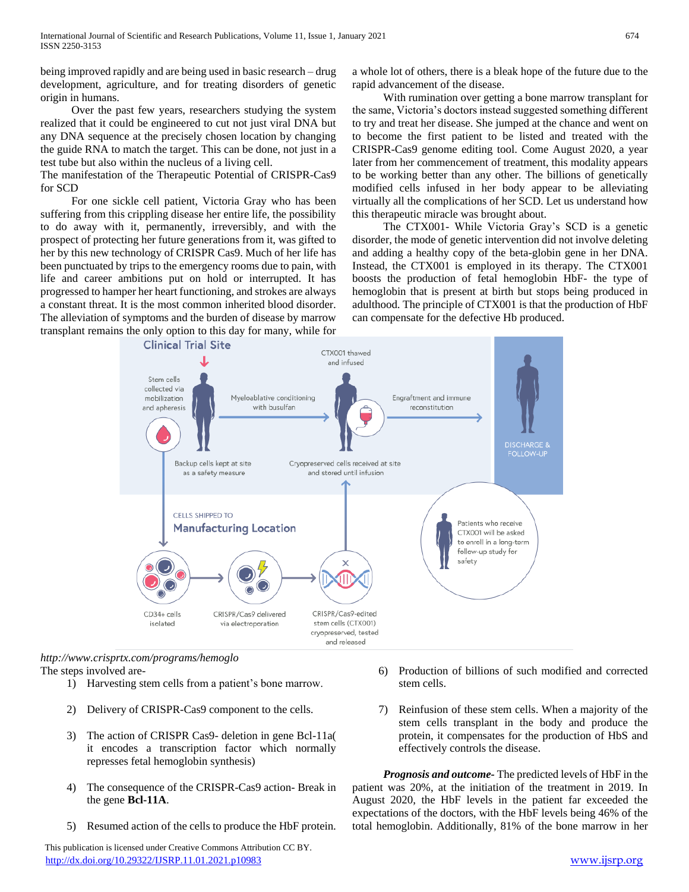being improved rapidly and are being used in basic research – drug development, agriculture, and for treating disorders of genetic origin in humans.

 Over the past few years, researchers studying the system realized that it could be engineered to cut not just viral DNA but any DNA sequence at the precisely chosen location by changing the guide RNA to match the target. This can be done, not just in a test tube but also within the nucleus of a living cell.

The manifestation of the Therapeutic Potential of CRISPR-Cas9 for SCD

 For one sickle cell patient, Victoria Gray who has been suffering from this crippling disease her entire life, the possibility to do away with it, permanently, irreversibly, and with the prospect of protecting her future generations from it, was gifted to her by this new technology of CRISPR Cas9. Much of her life has been punctuated by trips to the emergency rooms due to pain, with life and career ambitions put on hold or interrupted. It has progressed to hamper her heart functioning, and strokes are always a constant threat. It is the most common inherited blood disorder. The alleviation of symptoms and the burden of disease by marrow transplant remains the only option to this day for many, while for

a whole lot of others, there is a bleak hope of the future due to the rapid advancement of the disease.

 With rumination over getting a bone marrow transplant for the same, Victoria's doctors instead suggested something different to try and treat her disease. She jumped at the chance and went on to become the first patient to be listed and treated with the CRISPR-Cas9 genome editing tool. Come August 2020, a year later from her commencement of treatment, this modality appears to be working better than any other. The billions of genetically modified cells infused in her body appear to be alleviating virtually all the complications of her SCD. Let us understand how this therapeutic miracle was brought about.

 The CTX001- While Victoria Gray's SCD is a genetic disorder, the mode of genetic intervention did not involve deleting and adding a healthy copy of the beta-globin gene in her DNA. Instead, the CTX001 is employed in its therapy. The CTX001 boosts the production of fetal hemoglobin HbF- the type of hemoglobin that is present at birth but stops being produced in adulthood. The principle of CTX001 is that the production of HbF can compensate for the defective Hb produced.



*http://www.crisprtx.com/programs/hemoglo*  The steps involved are-

- 1) Harvesting stem cells from a patient's bone marrow.
- 2) Delivery of CRISPR-Cas9 component to the cells.
- 3) The action of CRISPR Cas9- deletion in gene Bcl-11a( it encodes a transcription factor which normally represses fetal hemoglobin synthesis)
- 4) The consequence of the CRISPR-Cas9 action- Break in the gene **Bcl-11A**.
- 5) Resumed action of the cells to produce the HbF protein.

 This publication is licensed under Creative Commons Attribution CC BY. <http://dx.doi.org/10.29322/IJSRP.11.01.2021.p10983> [www.ijsrp.org](http://ijsrp.org/)

- 6) Production of billions of such modified and corrected stem cells.
- 7) Reinfusion of these stem cells. When a majority of the stem cells transplant in the body and produce the protein, it compensates for the production of HbS and effectively controls the disease.

 *Prognosis and outcome-* The predicted levels of HbF in the patient was 20%, at the initiation of the treatment in 2019. In August 2020, the HbF levels in the patient far exceeded the expectations of the doctors, with the HbF levels being 46% of the total hemoglobin. Additionally, 81% of the bone marrow in her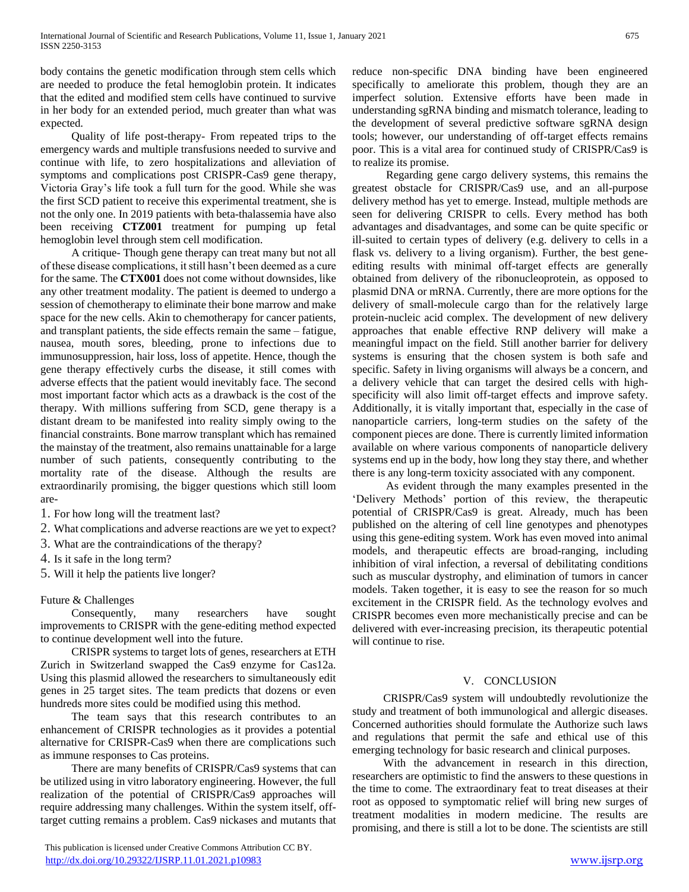body contains the genetic modification through stem cells which are needed to produce the fetal hemoglobin protein. It indicates that the edited and modified stem cells have continued to survive in her body for an extended period, much greater than what was expected.

 Quality of life post-therapy- From repeated trips to the emergency wards and multiple transfusions needed to survive and continue with life, to zero hospitalizations and alleviation of symptoms and complications post CRISPR-Cas9 gene therapy, Victoria Gray's life took a full turn for the good. While she was the first SCD patient to receive this experimental treatment, she is not the only one. In 2019 patients with beta-thalassemia have also been receiving **CTZ001** treatment for pumping up fetal hemoglobin level through stem cell modification.

 A critique- Though gene therapy can treat many but not all of these disease complications, it still hasn't been deemed as a cure for the same. The **CTX001** does not come without downsides, like any other treatment modality. The patient is deemed to undergo a session of chemotherapy to eliminate their bone marrow and make space for the new cells. Akin to chemotherapy for cancer patients, and transplant patients, the side effects remain the same – fatigue, nausea, mouth sores, bleeding, prone to infections due to immunosuppression, hair loss, loss of appetite. Hence, though the gene therapy effectively curbs the disease, it still comes with adverse effects that the patient would inevitably face. The second most important factor which acts as a drawback is the cost of the therapy. With millions suffering from SCD, gene therapy is a distant dream to be manifested into reality simply owing to the financial constraints. Bone marrow transplant which has remained the mainstay of the treatment, also remains unattainable for a large number of such patients, consequently contributing to the mortality rate of the disease. Although the results are extraordinarily promising, the bigger questions which still loom are-

- 1. For how long will the treatment last?
- 2. What complications and adverse reactions are we yet to expect?
- 3. What are the contraindications of the therapy?
- 4. Is it safe in the long term?
- 5. Will it help the patients live longer?

# Future & Challenges

 Consequently, many researchers have sought improvements to CRISPR with the gene-editing method expected to continue development well into the future.

 CRISPR systems to target lots of genes, researchers at ETH Zurich in Switzerland swapped the Cas9 enzyme for Cas12a. Using this plasmid allowed the researchers to simultaneously edit genes in 25 target sites. The team predicts that dozens or even hundreds more sites could be modified using this method.

 The team says that this research contributes to an enhancement of CRISPR technologies as it provides a potential alternative for CRISPR-Cas9 when there are complications such as immune responses to Cas proteins.

 There are many benefits of CRISPR/Cas9 systems that can be utilized using in vitro laboratory engineering. However, the full realization of the potential of CRISPR/Cas9 approaches will require addressing many challenges. Within the system itself, offtarget cutting remains a problem. Cas9 nickases and mutants that

 This publication is licensed under Creative Commons Attribution CC BY. <http://dx.doi.org/10.29322/IJSRP.11.01.2021.p10983> [www.ijsrp.org](http://ijsrp.org/)

reduce non-specific DNA binding have been engineered specifically to ameliorate this problem, though they are an imperfect solution. Extensive efforts have been made in understanding sgRNA binding and mismatch tolerance, leading to the development of several predictive software sgRNA design tools; however, our understanding of off-target effects remains poor. This is a vital area for continued study of CRISPR/Cas9 is to realize its promise.

 Regarding gene cargo delivery systems, this remains the greatest obstacle for CRISPR/Cas9 use, and an all-purpose delivery method has yet to emerge. Instead, multiple methods are seen for delivering CRISPR to cells. Every method has both advantages and disadvantages, and some can be quite specific or ill-suited to certain types of delivery (e.g. delivery to cells in a flask vs. delivery to a living organism). Further, the best geneediting results with minimal off-target effects are generally obtained from delivery of the ribonucleoprotein, as opposed to plasmid DNA or mRNA. Currently, there are more options for the delivery of small-molecule cargo than for the relatively large protein-nucleic acid complex. The development of new delivery approaches that enable effective RNP delivery will make a meaningful impact on the field. Still another barrier for delivery systems is ensuring that the chosen system is both safe and specific. Safety in living organisms will always be a concern, and a delivery vehicle that can target the desired cells with highspecificity will also limit off-target effects and improve safety. Additionally, it is vitally important that, especially in the case of nanoparticle carriers, long-term studies on the safety of the component pieces are done. There is currently limited information available on where various components of nanoparticle delivery systems end up in the body, how long they stay there, and whether there is any long-term toxicity associated with any component.

 As evident through the many examples presented in the 'Delivery Methods' portion of this review, the therapeutic potential of CRISPR/Cas9 is great. Already, much has been published on the altering of cell line genotypes and phenotypes using this gene-editing system. Work has even moved into animal models, and therapeutic effects are broad-ranging, including inhibition of viral infection, a reversal of debilitating conditions such as muscular dystrophy, and elimination of tumors in cancer models. Taken together, it is easy to see the reason for so much excitement in the CRISPR field. As the technology evolves and CRISPR becomes even more mechanistically precise and can be delivered with ever-increasing precision, its therapeutic potential will continue to rise.

# V. CONCLUSION

 CRISPR/Cas9 system will undoubtedly revolutionize the study and treatment of both immunological and allergic diseases. Concerned authorities should formulate the Authorize such laws and regulations that permit the safe and ethical use of this emerging technology for basic research and clinical purposes.

 With the advancement in research in this direction, researchers are optimistic to find the answers to these questions in the time to come. The extraordinary feat to treat diseases at their root as opposed to symptomatic relief will bring new surges of treatment modalities in modern medicine. The results are promising, and there is still a lot to be done. The scientists are still